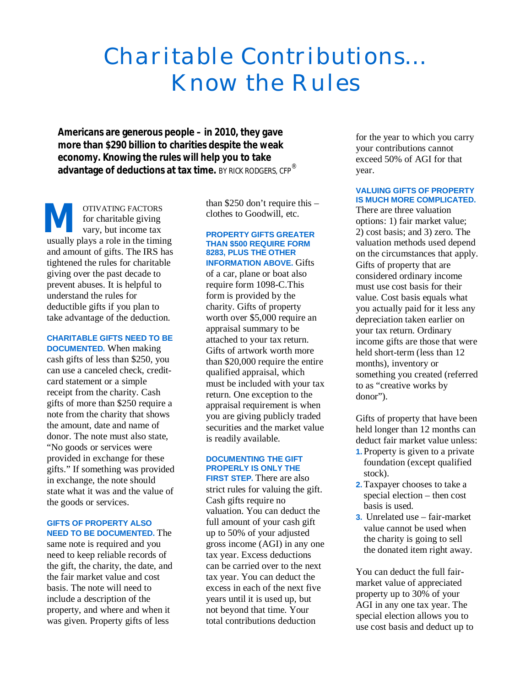# *Charitable Contributions… Know the Rules*

**Americans are generous people – in 2010, they gave more than \$290 billion to charities despite the weak economy. Knowing the rules will help you to take advantage of deductions at tax time.** BY RICK RODGERS, CFP®

OTIVATING FACTORS for charitable giving vary, but income tax **M** or charitable giving<br>for charitable giving<br>vary, but income tax<br>usually plays a role in the timing and amount of gifts. The IRS has tightened the rules for charitable giving over the past decade to prevent abuses. It is helpful to understand the rules for deductible gifts if you plan to take advantage of the deduction.

#### **CHARITABLE GIFTS NEED TO BE**

**DOCUMENTED.** When making cash gifts of less than \$250, you can use a canceled check, creditcard statement or a simple receipt from the charity. Cash gifts of more than \$250 require a note from the charity that shows the amount, date and name of donor. The note must also state, "No goods or services were provided in exchange for these gifts." If something was provided in exchange, the note should state what it was and the value of the goods or services.

### **GIFTS OF PROPERTY ALSO NEED TO BE DOCUMENTED.** The

same note is required and you need to keep reliable records of the gift, the charity, the date, and the fair market value and cost basis. The note will need to include a description of the property, and where and when it was given. Property gifts of less

than \$250 don't require this – clothes to Goodwill, etc.

#### **PROPERTY GIFTS GREATER THAN \$500 REQUIRE FORM 8283, PLUS THE OTHER INFORMATION ABOVE.** Gifts

of a car, plane or boat also require form 1098-C.This form is provided by the charity. Gifts of property worth over \$5,000 require an appraisal summary to be attached to your tax return. Gifts of artwork worth more than \$20,000 require the entire qualified appraisal, which must be included with your tax return. One exception to the appraisal requirement is when you are giving publicly traded securities and the market value is readily available.

## **DOCUMENTING THE GIFT PROPERLY IS ONLY THE**

**FIRST STEP.** There are also strict rules for valuing the gift. Cash gifts require no valuation. You can deduct the full amount of your cash gift up to 50% of your adjusted gross income (AGI) in any one tax year. Excess deductions can be carried over to the next tax year. You can deduct the excess in each of the next five years until it is used up, but not beyond that time. Your total contributions deduction

for the year to which you carry your contributions cannot exceed 50% of AGI for that year.

#### **VALUING GIFTS OF PROPERTY IS MUCH MORE COMPLICATED.**

There are three valuation options: 1) fair market value; 2) cost basis; and 3) zero. The valuation methods used depend on the circumstances that apply. Gifts of property that are considered ordinary income must use cost basis for their value. Cost basis equals what you actually paid for it less any depreciation taken earlier on your tax return. Ordinary income gifts are those that were held short-term (less than 12 months), inventory or something you created (referred to as "creative works by donor").

Gifts of property that have been held longer than 12 months can deduct fair market value unless:

- **1.** Property is given to a private foundation (except qualified stock).
- **2.**Taxpayer chooses to take a special election – then cost basis is used.
- **3.** Unrelated use fair-market value cannot be used when the charity is going to sell the donated item right away.

You can deduct the full fairmarket value of appreciated property up to 30% of your AGI in any one tax year. The special election allows you to use cost basis and deduct up to